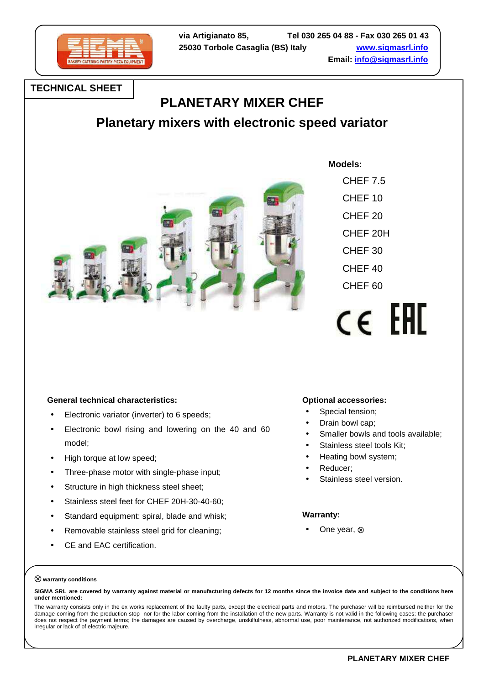

**TECHNICAL SHEET**

## **PLANETARY MIXER CHEF**

**Planetary mixers with electronic speed variator** 



 **Models:**

 CHEF 7.5 CHEF 10 CHEF 20 CHEF 20H CHEF 30 CHEF 40 CHEF 60

# $c \in F$ FFIC

#### **General technical characteristics:**

- Electronic variator (inverter) to 6 speeds;
- Electronic bowl rising and lowering on the 40 and 60 model;
- High torque at low speed;
- Three-phase motor with single-phase input;
- Structure in high thickness steel sheet:
- Stainless steel feet for CHEF 20H-30-40-60;
- Standard equipment: spiral, blade and whisk;
- Removable stainless steel grid for cleaning;
- CE and EAC certification.

#### **Optional accessories:**

- Special tension;
- Drain bowl cap;
- Smaller bowls and tools available:
- Stainless steel tools Kit:
- Heating bowl system;
- Reducer:
- Stainless steel version.

#### **Warranty:**

• One year, ⊗

#### ⊗ **warranty conditions**

**SIGMA SRL are covered by warranty against material or manufacturing defects for 12 months since the invoice date and subject to the conditions here under mentioned:**

The warranty consists only in the ex works replacement of the faulty parts, except the electrical parts and motors. The purchaser will be reimbursed neither for the damage coming from the production stop nor for the labor coming from the installation of the new parts. Warranty is not valid in the following cases: the purchaser does not respect the payment terms; the damages are caused by overcharge, unskilfulness, abnormal use, poor maintenance, not authorized modifications, when irregular or lack of of electric majeure.